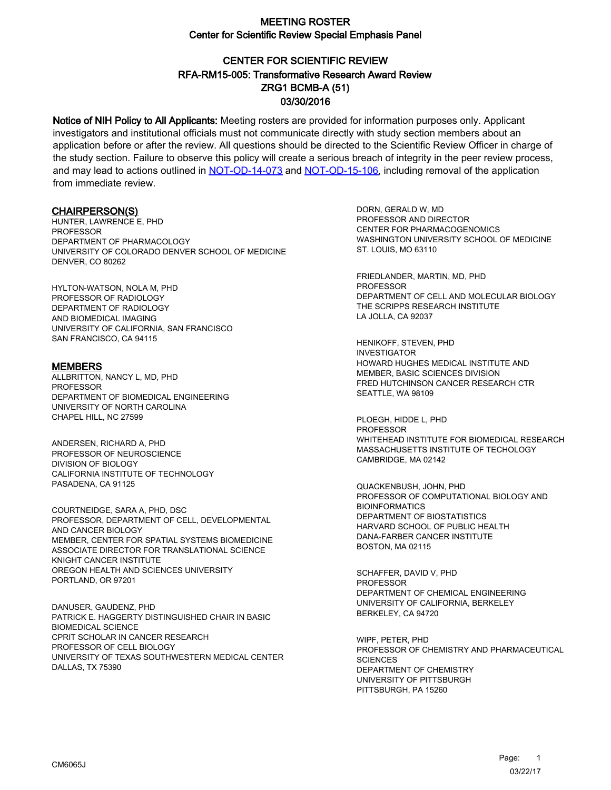# CENTER FOR SCIENTIFIC REVIEW ZRG1 BCMB-A (51) 03/30/2016 RFA-RM15-005: Transformative Research Award Review

Notice of NIH Policy to All Applicants: Meeting rosters are provided for information purposes only. Applicant investigators and institutional officials must not communicate directly with study section members about an application before or after the review. All questions should be directed to the Scientific Review Officer in charge of the study section. Failure to observe this policy will create a serious breach of integrity in the peer review process, and may lead to actions outlined in [NOT-OD-14-073](https://grants.nih.gov/grants/guide/notice-files/NOT-OD-14-073.html) and [NOT-OD-15-106,](https://grants.nih.gov/grants/guide/notice-files/NOT-OD-15-106.html) including removal of the application from immediate review.

#### CHAIRPERSON(S)

HUNTER, LAWRENCE E, PHD PROFESSOR DEPARTMENT OF PHARMACOLOGY UNIVERSITY OF COLORADO DENVER SCHOOL OF MEDICINE DENVER, CO 80262

HYLTON-WATSON, NOLA M, PHD PROFESSOR OF RADIOLOGY DEPARTMENT OF RADIOLOGY AND BIOMEDICAL IMAGING UNIVERSITY OF CALIFORNIA, SAN FRANCISCO SAN FRANCISCO, CA 94115

#### **MEMBERS**

ALLBRITTON, NANCY L, MD, PHD PROFESSOR DEPARTMENT OF BIOMEDICAL ENGINEERING UNIVERSITY OF NORTH CAROLINA CHAPEL HILL, NC 27599

ANDERSEN, RICHARD A, PHD PROFESSOR OF NEUROSCIENCE DIVISION OF BIOLOGY CALIFORNIA INSTITUTE OF TECHNOLOGY PASADENA, CA 91125

COURTNEIDGE, SARA A, PHD, DSC PROFESSOR, DEPARTMENT OF CELL, DEVELOPMENTAL AND CANCER BIOLOGY MEMBER, CENTER FOR SPATIAL SYSTEMS BIOMEDICINE ASSOCIATE DIRECTOR FOR TRANSLATIONAL SCIENCE KNIGHT CANCER INSTITUTE OREGON HEALTH AND SCIENCES UNIVERSITY PORTLAND, OR 97201

DANUSER, GAUDENZ, PHD PATRICK E. HAGGERTY DISTINGUISHED CHAIR IN BASIC BIOMEDICAL SCIENCE CPRIT SCHOLAR IN CANCER RESEARCH PROFESSOR OF CELL BIOLOGY UNIVERSITY OF TEXAS SOUTHWESTERN MEDICAL CENTER DALLAS, TX 75390

DORN, GERALD W, MD PROFESSOR AND DIRECTOR CENTER FOR PHARMACOGENOMICS WASHINGTON UNIVERSITY SCHOOL OF MEDICINE ST. LOUIS, MO 63110

FRIEDLANDER, MARTIN, MD, PHD PROFESSOR DEPARTMENT OF CELL AND MOLECULAR BIOLOGY THE SCRIPPS RESEARCH INSTITUTE LA JOLLA, CA 92037

HENIKOFF, STEVEN, PHD INVESTIGATOR HOWARD HUGHES MEDICAL INSTITUTE AND MEMBER, BASIC SCIENCES DIVISION FRED HUTCHINSON CANCER RESEARCH CTR SEATTLE, WA 98109

PLOEGH, HIDDE L, PHD PROFESSOR WHITEHEAD INSTITUTE FOR BIOMEDICAL RESEARCH MASSACHUSETTS INSTITUTE OF TECHOLOGY CAMBRIDGE, MA 02142

QUACKENBUSH, JOHN, PHD PROFESSOR OF COMPUTATIONAL BIOLOGY AND BIOINFORMATICS DEPARTMENT OF BIOSTATISTICS HARVARD SCHOOL OF PUBLIC HEALTH DANA-FARBER CANCER INSTITUTE BOSTON, MA 02115

SCHAFFER, DAVID V, PHD **PROFESSOR** DEPARTMENT OF CHEMICAL ENGINEERING UNIVERSITY OF CALIFORNIA, BERKELEY BERKELEY, CA 94720

WIPF, PETER, PHD PROFESSOR OF CHEMISTRY AND PHARMACEUTICAL **SCIENCES** DEPARTMENT OF CHEMISTRY UNIVERSITY OF PITTSBURGH PITTSBURGH, PA 15260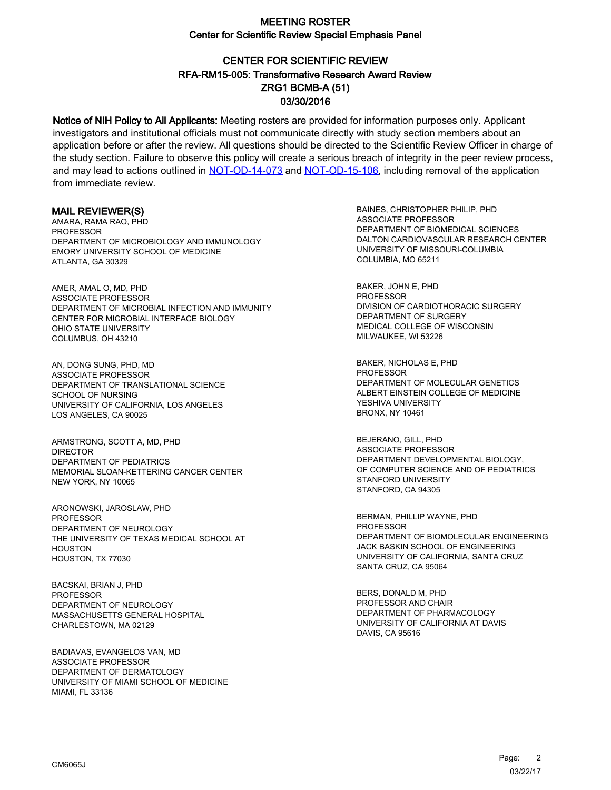# CENTER FOR SCIENTIFIC REVIEW ZRG1 BCMB-A (51) 03/30/2016 RFA-RM15-005: Transformative Research Award Review

Notice of NIH Policy to All Applicants: Meeting rosters are provided for information purposes only. Applicant investigators and institutional officials must not communicate directly with study section members about an application before or after the review. All questions should be directed to the Scientific Review Officer in charge of the study section. Failure to observe this policy will create a serious breach of integrity in the peer review process, and may lead to actions outlined in [NOT-OD-14-073](https://grants.nih.gov/grants/guide/notice-files/NOT-OD-14-073.html) and [NOT-OD-15-106,](https://grants.nih.gov/grants/guide/notice-files/NOT-OD-15-106.html) including removal of the application from immediate review.

#### MAIL REVIEWER(S)

AMARA, RAMA RAO, PHD PROFESSOR DEPARTMENT OF MICROBIOLOGY AND IMMUNOLOGY EMORY UNIVERSITY SCHOOL OF MEDICINE ATLANTA, GA 30329

AMER, AMAL O, MD, PHD ASSOCIATE PROFESSOR DEPARTMENT OF MICROBIAL INFECTION AND IMMUNITY CENTER FOR MICROBIAL INTERFACE BIOLOGY OHIO STATE UNIVERSITY COLUMBUS, OH 43210

AN, DONG SUNG, PHD, MD ASSOCIATE PROFESSOR DEPARTMENT OF TRANSLATIONAL SCIENCE SCHOOL OF NURSING UNIVERSITY OF CALIFORNIA, LOS ANGELES LOS ANGELES, CA 90025

ARMSTRONG, SCOTT A, MD, PHD DIRECTOR DEPARTMENT OF PEDIATRICS MEMORIAL SLOAN-KETTERING CANCER CENTER NEW YORK, NY 10065

ARONOWSKI, JAROSLAW, PHD PROFESSOR DEPARTMENT OF NEUROLOGY THE UNIVERSITY OF TEXAS MEDICAL SCHOOL AT HOUSTON HOUSTON, TX 77030

BACSKAI, BRIAN J, PHD PROFESSOR DEPARTMENT OF NEUROLOGY MASSACHUSETTS GENERAL HOSPITAL CHARLESTOWN, MA 02129

BADIAVAS, EVANGELOS VAN, MD ASSOCIATE PROFESSOR DEPARTMENT OF DERMATOLOGY UNIVERSITY OF MIAMI SCHOOL OF MEDICINE MIAMI, FL 33136

BAINES, CHRISTOPHER PHILIP, PHD ASSOCIATE PROFESSOR DEPARTMENT OF BIOMEDICAL SCIENCES DALTON CARDIOVASCULAR RESEARCH CENTER UNIVERSITY OF MISSOURI-COLUMBIA COLUMBIA, MO 65211

BAKER, JOHN E, PHD PROFESSOR DIVISION OF CARDIOTHORACIC SURGERY DEPARTMENT OF SURGERY MEDICAL COLLEGE OF WISCONSIN MILWAUKEE, WI 53226

BAKER, NICHOLAS E, PHD **PROFESSOR** DEPARTMENT OF MOLECULAR GENETICS ALBERT EINSTEIN COLLEGE OF MEDICINE YESHIVA UNIVERSITY BRONX, NY 10461

BEJERANO, GILL, PHD ASSOCIATE PROFESSOR DEPARTMENT DEVELOPMENTAL BIOLOGY, OF COMPUTER SCIENCE AND OF PEDIATRICS STANFORD UNIVERSITY STANFORD, CA 94305

BERMAN, PHILLIP WAYNE, PHD PROFESSOR DEPARTMENT OF BIOMOLECULAR ENGINEERING JACK BASKIN SCHOOL OF ENGINEERING UNIVERSITY OF CALIFORNIA, SANTA CRUZ SANTA CRUZ, CA 95064

BERS, DONALD M, PHD PROFESSOR AND CHAIR DEPARTMENT OF PHARMACOLOGY UNIVERSITY OF CALIFORNIA AT DAVIS DAVIS, CA 95616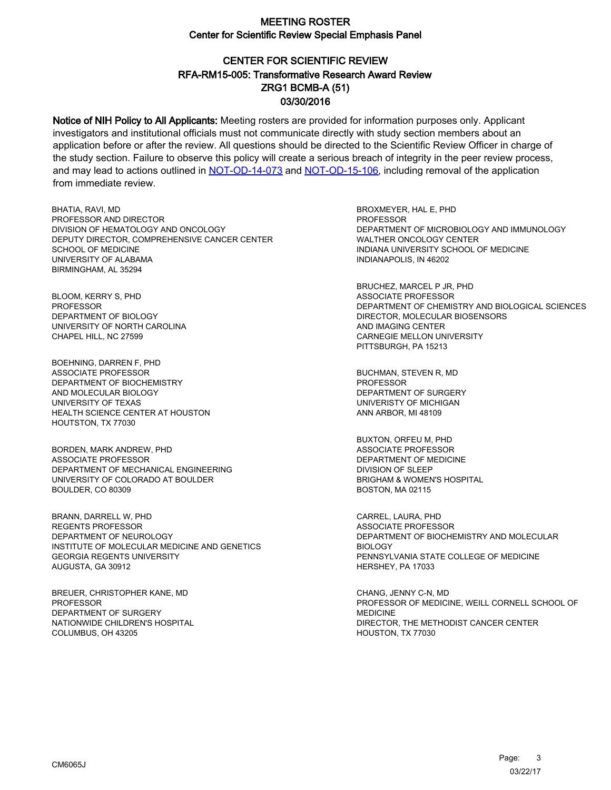# CENTER FOR SCIENTIFIC REVIEW ZRG1 BCMB-A (51) 03/30/2016 RFA-RM15-005: Transformative Research Award Review

Notice of NIH Policy to All Applicants: Meeting rosters are provided for information purposes only. Applicant investigators and institutional officials must not communicate directly with study section members about an application before or after the review. All questions should be directed to the Scientific Review Officer in charge of the study section. Failure to observe this policy will create a serious breach of integrity in the peer review process, and may lead to actions outlined in [NOT-OD-14-073](https://grants.nih.gov/grants/guide/notice-files/NOT-OD-14-073.html) and [NOT-OD-15-106,](https://grants.nih.gov/grants/guide/notice-files/NOT-OD-15-106.html) including removal of the application from immediate review.

BHATIA, RAVI, MD PROFESSOR AND DIRECTOR DIVISION OF HEMATOLOGY AND ONCOLOGY DEPUTY DIRECTOR, COMPREHENSIVE CANCER CENTER SCHOOL OF MEDICINE UNIVERSITY OF ALABAMA BIRMINGHAM, AL 35294

BLOOM, KERRY S, PHD PROFESSOR DEPARTMENT OF BIOLOGY UNIVERSITY OF NORTH CAROLINA CHAPEL HILL, NC 27599

BOEHNING, DARREN F, PHD ASSOCIATE PROFESSOR DEPARTMENT OF BIOCHEMISTRY AND MOLECULAR BIOLOGY UNIVERSITY OF TEXAS HEALTH SCIENCE CENTER AT HOUSTON HOUTSTON, TX 77030

BORDEN, MARK ANDREW, PHD ASSOCIATE PROFESSOR DEPARTMENT OF MECHANICAL ENGINEERING UNIVERSITY OF COLORADO AT BOULDER BOULDER, CO 80309

BRANN, DARRELL W, PHD REGENTS PROFESSOR DEPARTMENT OF NEUROLOGY INSTITUTE OF MOLECULAR MEDICINE AND GENETICS GEORGIA REGENTS UNIVERSITY AUGUSTA, GA 30912

BREUER, CHRISTOPHER KANE, MD PROFESSOR DEPARTMENT OF SURGERY NATIONWIDE CHILDREN'S HOSPITAL COLUMBUS, OH 43205

BROXMEYER, HAL E, PHD PROFESSOR DEPARTMENT OF MICROBIOLOGY AND IMMUNOLOGY WALTHER ONCOLOGY CENTER INDIANA UNIVERSITY SCHOOL OF MEDICINE INDIANAPOLIS, IN 46202

BRUCHEZ, MARCEL P JR, PHD ASSOCIATE PROFESSOR DEPARTMENT OF CHEMISTRY AND BIOLOGICAL SCIENCES DIRECTOR, MOLECULAR BIOSENSORS AND IMAGING CENTER CARNEGIE MELLON UNIVERSITY PITTSBURGH, PA 15213

BUCHMAN, STEVEN R, MD **PROFESSOR** DEPARTMENT OF SURGERY UNIVERISTY OF MICHIGAN ANN ARBOR, MI 48109

BUXTON, ORFEU M, PHD ASSOCIATE PROFESSOR DEPARTMENT OF MEDICINE DIVISION OF SLEEP BRIGHAM & WOMEN'S HOSPITAL BOSTON, MA 02115

CARREL, LAURA, PHD ASSOCIATE PROFESSOR DEPARTMENT OF BIOCHEMISTRY AND MOLECULAR BIOLOGY PENNSYLVANIA STATE COLLEGE OF MEDICINE HERSHEY, PA 17033

CHANG, JENNY C-N, MD PROFESSOR OF MEDICINE, WEILL CORNELL SCHOOL OF MEDICINE DIRECTOR, THE METHODIST CANCER CENTER HOUSTON, TX 77030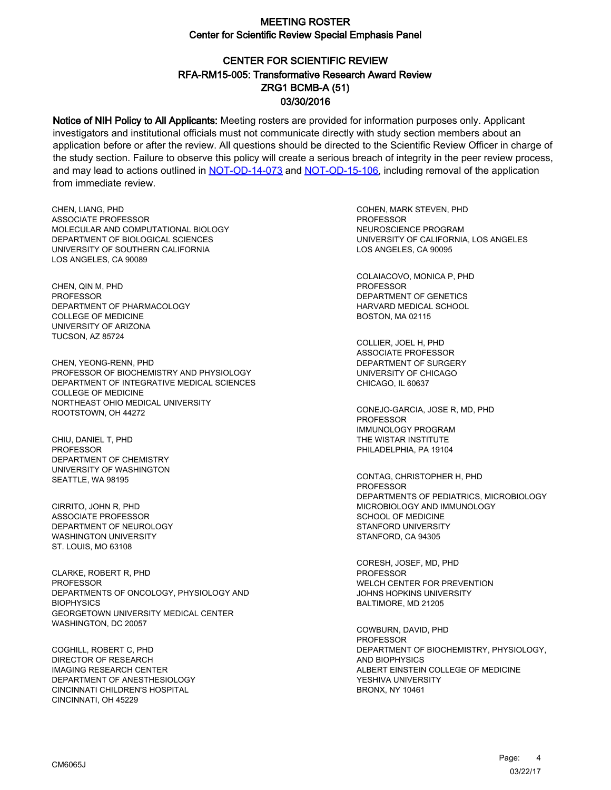# CENTER FOR SCIENTIFIC REVIEW ZRG1 BCMB-A (51) 03/30/2016 RFA-RM15-005: Transformative Research Award Review

Notice of NIH Policy to All Applicants: Meeting rosters are provided for information purposes only. Applicant investigators and institutional officials must not communicate directly with study section members about an application before or after the review. All questions should be directed to the Scientific Review Officer in charge of the study section. Failure to observe this policy will create a serious breach of integrity in the peer review process, and may lead to actions outlined in [NOT-OD-14-073](https://grants.nih.gov/grants/guide/notice-files/NOT-OD-14-073.html) and [NOT-OD-15-106,](https://grants.nih.gov/grants/guide/notice-files/NOT-OD-15-106.html) including removal of the application from immediate review.

CHEN, LIANG, PHD ASSOCIATE PROFESSOR MOLECULAR AND COMPUTATIONAL BIOLOGY DEPARTMENT OF BIOLOGICAL SCIENCES UNIVERSITY OF SOUTHERN CALIFORNIA LOS ANGELES, CA 90089

CHEN, QIN M, PHD PROFESSOR DEPARTMENT OF PHARMACOLOGY COLLEGE OF MEDICINE UNIVERSITY OF ARIZONA TUCSON, AZ 85724

CHEN, YEONG-RENN, PHD PROFESSOR OF BIOCHEMISTRY AND PHYSIOLOGY DEPARTMENT OF INTEGRATIVE MEDICAL SCIENCES COLLEGE OF MEDICINE NORTHEAST OHIO MEDICAL UNIVERSITY ROOTSTOWN, OH 44272

CHIU, DANIEL T, PHD **PROFESSOR** DEPARTMENT OF CHEMISTRY UNIVERSITY OF WASHINGTON SEATTLE, WA 98195

CIRRITO, JOHN R, PHD ASSOCIATE PROFESSOR DEPARTMENT OF NEUROLOGY WASHINGTON UNIVERSITY ST. LOUIS, MO 63108

CLARKE, ROBERT R, PHD **PROFESSOR** DEPARTMENTS OF ONCOLOGY, PHYSIOLOGY AND **BIOPHYSICS** GEORGETOWN UNIVERSITY MEDICAL CENTER WASHINGTON, DC 20057

COGHILL, ROBERT C, PHD DIRECTOR OF RESEARCH IMAGING RESEARCH CENTER DEPARTMENT OF ANESTHESIOLOGY CINCINNATI CHILDREN'S HOSPITAL CINCINNATI, OH 45229

COHEN, MARK STEVEN, PHD PROFESSOR NEUROSCIENCE PROGRAM UNIVERSITY OF CALIFORNIA, LOS ANGELES LOS ANGELES, CA 90095

COLAIACOVO, MONICA P, PHD PROFESSOR DEPARTMENT OF GENETICS HARVARD MEDICAL SCHOOL BOSTON, MA 02115

COLLIER, JOEL H, PHD ASSOCIATE PROFESSOR DEPARTMENT OF SURGERY UNIVERSITY OF CHICAGO CHICAGO, IL 60637

CONEJO-GARCIA, JOSE R, MD, PHD **PROFESSOR** IMMUNOLOGY PROGRAM THE WISTAR INSTITUTE PHILADELPHIA, PA 19104

CONTAG, CHRISTOPHER H, PHD PROFESSOR DEPARTMENTS OF PEDIATRICS, MICROBIOLOGY MICROBIOLOGY AND IMMUNOLOGY SCHOOL OF MEDICINE STANFORD UNIVERSITY STANFORD, CA 94305

CORESH, JOSEF, MD, PHD PROFESSOR WELCH CENTER FOR PREVENTION JOHNS HOPKINS UNIVERSITY BALTIMORE, MD 21205

COWBURN, DAVID, PHD PROFESSOR DEPARTMENT OF BIOCHEMISTRY, PHYSIOLOGY, AND BIOPHYSICS ALBERT EINSTEIN COLLEGE OF MEDICINE YESHIVA UNIVERSITY BRONX, NY 10461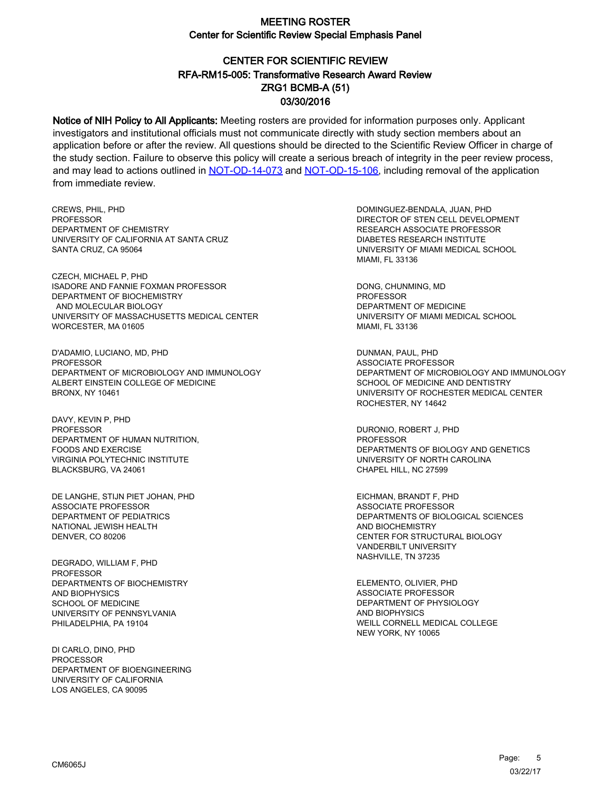# CENTER FOR SCIENTIFIC REVIEW ZRG1 BCMB-A (51) 03/30/2016 RFA-RM15-005: Transformative Research Award Review

Notice of NIH Policy to All Applicants: Meeting rosters are provided for information purposes only. Applicant investigators and institutional officials must not communicate directly with study section members about an application before or after the review. All questions should be directed to the Scientific Review Officer in charge of the study section. Failure to observe this policy will create a serious breach of integrity in the peer review process, and may lead to actions outlined in [NOT-OD-14-073](https://grants.nih.gov/grants/guide/notice-files/NOT-OD-14-073.html) and [NOT-OD-15-106,](https://grants.nih.gov/grants/guide/notice-files/NOT-OD-15-106.html) including removal of the application from immediate review.

CREWS, PHIL, PHD **PROFESSOR** DEPARTMENT OF CHEMISTRY UNIVERSITY OF CALIFORNIA AT SANTA CRUZ SANTA CRUZ, CA 95064

CZECH, MICHAEL P, PHD ISADORE AND FANNIE FOXMAN PROFESSOR DEPARTMENT OF BIOCHEMISTRY AND MOLECULAR BIOLOGY UNIVERSITY OF MASSACHUSETTS MEDICAL CENTER WORCESTER, MA 01605

D'ADAMIO, LUCIANO, MD, PHD PROFESSOR DEPARTMENT OF MICROBIOLOGY AND IMMUNOLOGY ALBERT EINSTEIN COLLEGE OF MEDICINE BRONX, NY 10461

DAVY, KEVIN P, PHD PROFESSOR DEPARTMENT OF HUMAN NUTRITION, FOODS AND EXERCISE VIRGINIA POLYTECHNIC INSTITUTE BLACKSBURG, VA 24061

DE LANGHE, STIJN PIET JOHAN, PHD ASSOCIATE PROFESSOR DEPARTMENT OF PEDIATRICS NATIONAL JEWISH HEALTH DENVER, CO 80206

DEGRADO, WILLIAM F, PHD PROFESSOR DEPARTMENTS OF BIOCHEMISTRY AND BIOPHYSICS SCHOOL OF MEDICINE UNIVERSITY OF PENNSYLVANIA PHILADELPHIA, PA 19104

DI CARLO, DINO, PHD PROCESSOR DEPARTMENT OF BIOENGINEERING UNIVERSITY OF CALIFORNIA LOS ANGELES, CA 90095

DOMINGUEZ-BENDALA, JUAN, PHD DIRECTOR OF STEN CELL DEVELOPMENT RESEARCH ASSOCIATE PROFESSOR DIABETES RESEARCH INSTITUTE UNIVERSITY OF MIAMI MEDICAL SCHOOL MIAMI, FL 33136

DONG, CHUNMING, MD PROFESSOR DEPARTMENT OF MEDICINE UNIVERSITY OF MIAMI MEDICAL SCHOOL MIAMI, FL 33136

DUNMAN, PAUL, PHD ASSOCIATE PROFESSOR DEPARTMENT OF MICROBIOLOGY AND IMMUNOLOGY SCHOOL OF MEDICINE AND DENTISTRY UNIVERSITY OF ROCHESTER MEDICAL CENTER ROCHESTER, NY 14642

DURONIO, ROBERT J, PHD PROFESSOR DEPARTMENTS OF BIOLOGY AND GENETICS UNIVERSITY OF NORTH CAROLINA CHAPEL HILL, NC 27599

EICHMAN, BRANDT F, PHD ASSOCIATE PROFESSOR DEPARTMENTS OF BIOLOGICAL SCIENCES AND BIOCHEMISTRY CENTER FOR STRUCTURAL BIOLOGY VANDERBILT UNIVERSITY NASHVILLE, TN 37235

ELEMENTO, OLIVIER, PHD ASSOCIATE PROFESSOR DEPARTMENT OF PHYSIOLOGY AND BIOPHYSICS WEILL CORNELL MEDICAL COLLEGE NEW YORK, NY 10065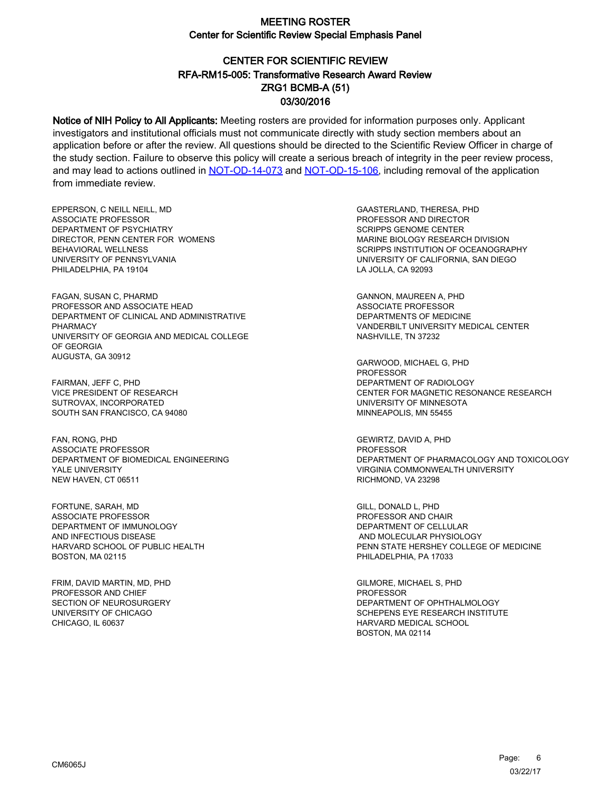# CENTER FOR SCIENTIFIC REVIEW ZRG1 BCMB-A (51) 03/30/2016 RFA-RM15-005: Transformative Research Award Review

Notice of NIH Policy to All Applicants: Meeting rosters are provided for information purposes only. Applicant investigators and institutional officials must not communicate directly with study section members about an application before or after the review. All questions should be directed to the Scientific Review Officer in charge of the study section. Failure to observe this policy will create a serious breach of integrity in the peer review process, and may lead to actions outlined in [NOT-OD-14-073](https://grants.nih.gov/grants/guide/notice-files/NOT-OD-14-073.html) and [NOT-OD-15-106,](https://grants.nih.gov/grants/guide/notice-files/NOT-OD-15-106.html) including removal of the application from immediate review.

EPPERSON, C NEILL NEILL, MD ASSOCIATE PROFESSOR DEPARTMENT OF PSYCHIATRY DIRECTOR, PENN CENTER FOR WOMENS BEHAVIORAL WELLNESS UNIVERSITY OF PENNSYLVANIA PHILADELPHIA, PA 19104

FAGAN, SUSAN C, PHARMD PROFESSOR AND ASSOCIATE HEAD DEPARTMENT OF CLINICAL AND ADMINISTRATIVE PHARMACY UNIVERSITY OF GEORGIA AND MEDICAL COLLEGE OF GEORGIA AUGUSTA, GA 30912

FAIRMAN, JEFF C, PHD VICE PRESIDENT OF RESEARCH SUTROVAX, INCORPORATED SOUTH SAN FRANCISCO, CA 94080

FAN, RONG, PHD ASSOCIATE PROFESSOR DEPARTMENT OF BIOMEDICAL ENGINEERING YALE UNIVERSITY NEW HAVEN, CT 06511

FORTUNE, SARAH, MD ASSOCIATE PROFESSOR DEPARTMENT OF IMMUNOLOGY AND INFECTIOUS DISEASE HARVARD SCHOOL OF PUBLIC HEALTH BOSTON, MA 02115

FRIM, DAVID MARTIN, MD, PHD PROFESSOR AND CHIEF SECTION OF NEUROSURGERY UNIVERSITY OF CHICAGO CHICAGO, IL 60637

GAASTERLAND, THERESA, PHD PROFESSOR AND DIRECTOR SCRIPPS GENOME CENTER MARINE BIOLOGY RESEARCH DIVISION SCRIPPS INSTITUTION OF OCEANOGRAPHY UNIVERSITY OF CALIFORNIA, SAN DIEGO LA JOLLA, CA 92093

GANNON, MAUREEN A, PHD ASSOCIATE PROFESSOR DEPARTMENTS OF MEDICINE VANDERBILT UNIVERSITY MEDICAL CENTER NASHVILLE, TN 37232

GARWOOD, MICHAEL G, PHD **PROFESSOR** DEPARTMENT OF RADIOLOGY CENTER FOR MAGNETIC RESONANCE RESEARCH UNIVERSITY OF MINNESOTA MINNEAPOLIS, MN 55455

GEWIRTZ, DAVID A, PHD **PROFESSOR** DEPARTMENT OF PHARMACOLOGY AND TOXICOLOGY VIRGINIA COMMONWEALTH UNIVERSITY RICHMOND, VA 23298

GILL, DONALD L, PHD PROFESSOR AND CHAIR DEPARTMENT OF CELLULAR AND MOLECULAR PHYSIOLOGY PENN STATE HERSHEY COLLEGE OF MEDICINE PHILADELPHIA, PA 17033

GILMORE, MICHAEL S, PHD PROFESSOR DEPARTMENT OF OPHTHALMOLOGY SCHEPENS EYE RESEARCH INSTITUTE HARVARD MEDICAL SCHOOL BOSTON, MA 02114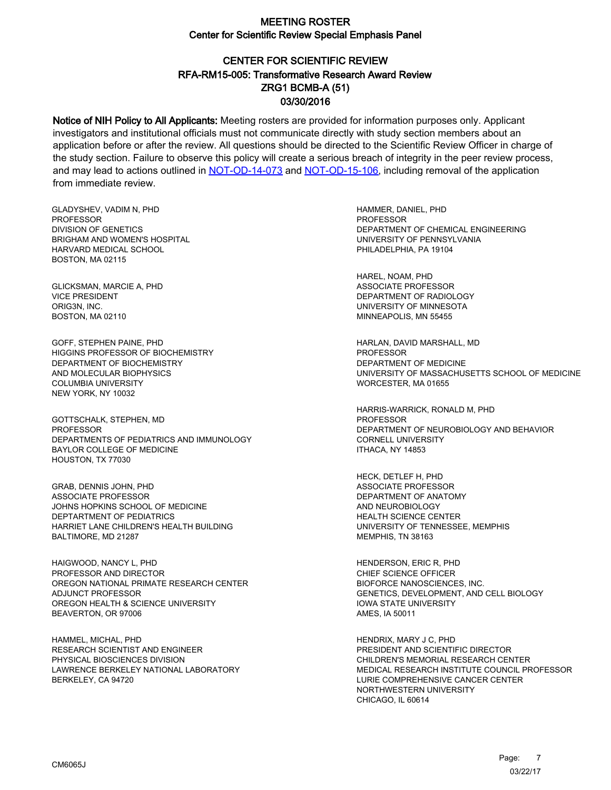# CENTER FOR SCIENTIFIC REVIEW ZRG1 BCMB-A (51) 03/30/2016 RFA-RM15-005: Transformative Research Award Review

Notice of NIH Policy to All Applicants: Meeting rosters are provided for information purposes only. Applicant investigators and institutional officials must not communicate directly with study section members about an application before or after the review. All questions should be directed to the Scientific Review Officer in charge of the study section. Failure to observe this policy will create a serious breach of integrity in the peer review process, and may lead to actions outlined in [NOT-OD-14-073](https://grants.nih.gov/grants/guide/notice-files/NOT-OD-14-073.html) and [NOT-OD-15-106,](https://grants.nih.gov/grants/guide/notice-files/NOT-OD-15-106.html) including removal of the application from immediate review.

GLADYSHEV, VADIM N, PHD PROFESSOR DIVISION OF GENETICS BRIGHAM AND WOMEN'S HOSPITAL HARVARD MEDICAL SCHOOL BOSTON, MA 02115

GLICKSMAN, MARCIE A, PHD VICE PRESIDENT ORIG3N, INC. BOSTON, MA 02110

GOFF, STEPHEN PAINE, PHD HIGGINS PROFESSOR OF BIOCHEMISTRY DEPARTMENT OF BIOCHEMISTRY AND MOLECULAR BIOPHYSICS COLUMBIA UNIVERSITY NEW YORK, NY 10032

GOTTSCHALK, STEPHEN, MD PROFESSOR DEPARTMENTS OF PEDIATRICS AND IMMUNOLOGY BAYLOR COLLEGE OF MEDICINE HOUSTON, TX 77030

GRAB, DENNIS JOHN, PHD ASSOCIATE PROFESSOR JOHNS HOPKINS SCHOOL OF MEDICINE DEPTARTMENT OF PEDIATRICS HARRIET LANE CHILDREN'S HEALTH BUILDING BALTIMORE, MD 21287

HAIGWOOD, NANCY L, PHD PROFESSOR AND DIRECTOR OREGON NATIONAL PRIMATE RESEARCH CENTER ADJUNCT PROFESSOR OREGON HEALTH & SCIENCE UNIVERSITY BEAVERTON, OR 97006

HAMMEL, MICHAL, PHD RESEARCH SCIENTIST AND ENGINEER PHYSICAL BIOSCIENCES DIVISION LAWRENCE BERKELEY NATIONAL LABORATORY BERKELEY, CA 94720

HAMMER, DANIEL, PHD **PROFESSOR** DEPARTMENT OF CHEMICAL ENGINEERING UNIVERSITY OF PENNSYLVANIA PHILADELPHIA, PA 19104

HAREL, NOAM, PHD ASSOCIATE PROFESSOR DEPARTMENT OF RADIOLOGY UNIVERSITY OF MINNESOTA MINNEAPOLIS, MN 55455

HARLAN, DAVID MARSHALL, MD **PROFESSOR** DEPARTMENT OF MEDICINE UNIVERSITY OF MASSACHUSETTS SCHOOL OF MEDICINE WORCESTER, MA 01655

HARRIS-WARRICK, RONALD M, PHD **PROFESSOR** DEPARTMENT OF NEUROBIOLOGY AND BEHAVIOR CORNELL UNIVERSITY ITHACA, NY 14853

HECK, DETLEF H, PHD ASSOCIATE PROFESSOR DEPARTMENT OF ANATOMY AND NEUROBIOLOGY HEALTH SCIENCE CENTER UNIVERSITY OF TENNESSEE, MEMPHIS MEMPHIS, TN 38163

HENDERSON, ERIC R, PHD CHIEF SCIENCE OFFICER BIOFORCE NANOSCIENCES, INC. GENETICS, DEVELOPMENT, AND CELL BIOLOGY IOWA STATE UNIVERSITY AMES, IA 50011

HENDRIX, MARY J C, PHD PRESIDENT AND SCIENTIFIC DIRECTOR CHILDREN'S MEMORIAL RESEARCH CENTER MEDICAL RESEARCH INSTITUTE COUNCIL PROFESSOR LURIE COMPREHENSIVE CANCER CENTER NORTHWESTERN UNIVERSITY CHICAGO, IL 60614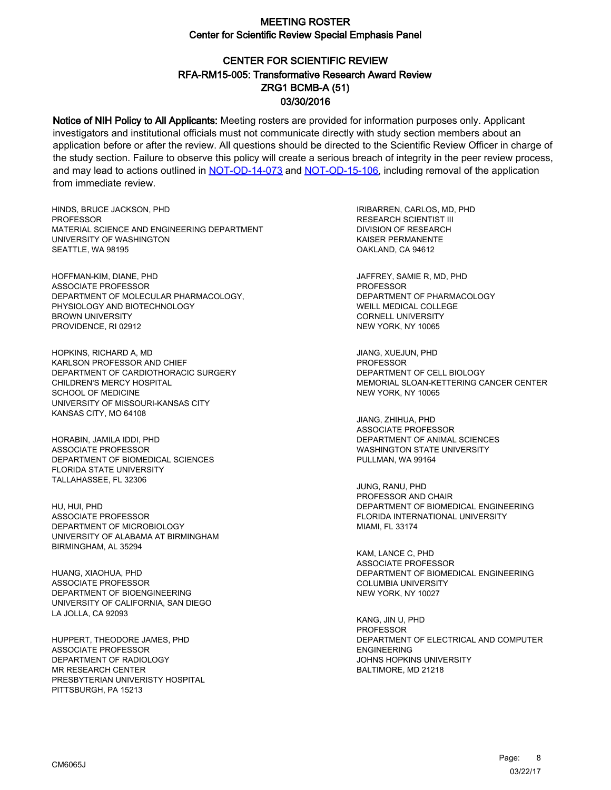# CENTER FOR SCIENTIFIC REVIEW ZRG1 BCMB-A (51) 03/30/2016 RFA-RM15-005: Transformative Research Award Review

Notice of NIH Policy to All Applicants: Meeting rosters are provided for information purposes only. Applicant investigators and institutional officials must not communicate directly with study section members about an application before or after the review. All questions should be directed to the Scientific Review Officer in charge of the study section. Failure to observe this policy will create a serious breach of integrity in the peer review process, and may lead to actions outlined in [NOT-OD-14-073](https://grants.nih.gov/grants/guide/notice-files/NOT-OD-14-073.html) and [NOT-OD-15-106,](https://grants.nih.gov/grants/guide/notice-files/NOT-OD-15-106.html) including removal of the application from immediate review.

HINDS, BRUCE JACKSON, PHD **PROFESSOR** MATERIAL SCIENCE AND ENGINEERING DEPARTMENT UNIVERSITY OF WASHINGTON SEATTLE, WA 98195

HOFFMAN-KIM, DIANE, PHD ASSOCIATE PROFESSOR DEPARTMENT OF MOLECULAR PHARMACOLOGY, PHYSIOLOGY AND BIOTECHNOLOGY BROWN UNIVERSITY PROVIDENCE, RI 02912

HOPKINS, RICHARD A, MD KARLSON PROFESSOR AND CHIEF DEPARTMENT OF CARDIOTHORACIC SURGERY CHILDREN'S MERCY HOSPITAL SCHOOL OF MEDICINE UNIVERSITY OF MISSOURI-KANSAS CITY KANSAS CITY, MO 64108

HORABIN, JAMILA IDDI, PHD ASSOCIATE PROFESSOR DEPARTMENT OF BIOMEDICAL SCIENCES FLORIDA STATE UNIVERSITY TALLAHASSEE, FL 32306

HU, HUI, PHD ASSOCIATE PROFESSOR DEPARTMENT OF MICROBIOLOGY UNIVERSITY OF ALABAMA AT BIRMINGHAM BIRMINGHAM, AL 35294

HUANG, XIAOHUA, PHD ASSOCIATE PROFESSOR DEPARTMENT OF BIOENGINEERING UNIVERSITY OF CALIFORNIA, SAN DIEGO LA JOLLA, CA 92093

HUPPERT, THEODORE JAMES, PHD ASSOCIATE PROFESSOR DEPARTMENT OF RADIOLOGY MR RESEARCH CENTER PRESBYTERIAN UNIVERISTY HOSPITAL PITTSBURGH, PA 15213

IRIBARREN, CARLOS, MD, PHD RESEARCH SCIENTIST III DIVISION OF RESEARCH KAISER PERMANENTE OAKLAND, CA 94612

JAFFREY, SAMIE R, MD, PHD PROFESSOR DEPARTMENT OF PHARMACOLOGY WEILL MEDICAL COLLEGE CORNELL UNIVERSITY NEW YORK, NY 10065

JIANG, XUEJUN, PHD PROFESSOR DEPARTMENT OF CELL BIOLOGY MEMORIAL SLOAN-KETTERING CANCER CENTER NEW YORK, NY 10065

JIANG, ZHIHUA, PHD ASSOCIATE PROFESSOR DEPARTMENT OF ANIMAL SCIENCES WASHINGTON STATE UNIVERSITY PULLMAN, WA 99164

JUNG, RANU, PHD PROFESSOR AND CHAIR DEPARTMENT OF BIOMEDICAL ENGINEERING FLORIDA INTERNATIONAL UNIVERSITY MIAMI, FL 33174

KAM, LANCE C, PHD ASSOCIATE PROFESSOR DEPARTMENT OF BIOMEDICAL ENGINEERING COLUMBIA UNIVERSITY NEW YORK, NY 10027

KANG, JIN U, PHD PROFESSOR DEPARTMENT OF ELECTRICAL AND COMPUTER ENGINEERING JOHNS HOPKINS UNIVERSITY BALTIMORE, MD 21218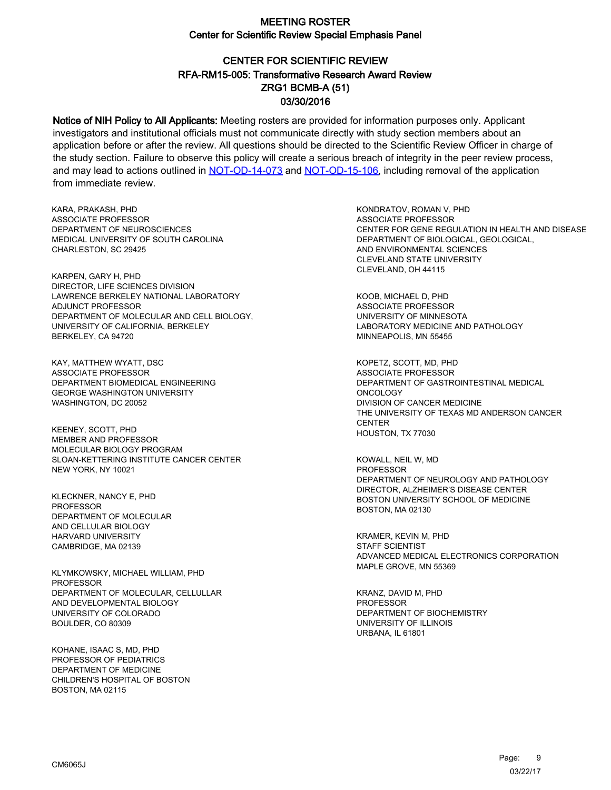# CENTER FOR SCIENTIFIC REVIEW ZRG1 BCMB-A (51) 03/30/2016 RFA-RM15-005: Transformative Research Award Review

Notice of NIH Policy to All Applicants: Meeting rosters are provided for information purposes only. Applicant investigators and institutional officials must not communicate directly with study section members about an application before or after the review. All questions should be directed to the Scientific Review Officer in charge of the study section. Failure to observe this policy will create a serious breach of integrity in the peer review process, and may lead to actions outlined in [NOT-OD-14-073](https://grants.nih.gov/grants/guide/notice-files/NOT-OD-14-073.html) and [NOT-OD-15-106,](https://grants.nih.gov/grants/guide/notice-files/NOT-OD-15-106.html) including removal of the application from immediate review.

KARA, PRAKASH, PHD ASSOCIATE PROFESSOR DEPARTMENT OF NEUROSCIENCES MEDICAL UNIVERSITY OF SOUTH CAROLINA CHARLESTON, SC 29425

KARPEN, GARY H, PHD DIRECTOR, LIFE SCIENCES DIVISION LAWRENCE BERKELEY NATIONAL LABORATORY ADJUNCT PROFESSOR DEPARTMENT OF MOLECULAR AND CELL BIOLOGY, UNIVERSITY OF CALIFORNIA, BERKELEY BERKELEY, CA 94720

KAY, MATTHEW WYATT, DSC ASSOCIATE PROFESSOR DEPARTMENT BIOMEDICAL ENGINEERING GEORGE WASHINGTON UNIVERSITY WASHINGTON, DC 20052

KEENEY, SCOTT, PHD MEMBER AND PROFESSOR MOLECULAR BIOLOGY PROGRAM SLOAN-KETTERING INSTITUTE CANCER CENTER NEW YORK, NY 10021

KLECKNER, NANCY E, PHD PROFESSOR DEPARTMENT OF MOLECULAR AND CELLULAR BIOLOGY HARVARD UNIVERSITY CAMBRIDGE, MA 02139

KLYMKOWSKY, MICHAEL WILLIAM, PHD **PROFESSOR** DEPARTMENT OF MOLECULAR, CELLULLAR AND DEVELOPMENTAL BIOLOGY UNIVERSITY OF COLORADO BOULDER, CO 80309

KOHANE, ISAAC S, MD, PHD PROFESSOR OF PEDIATRICS DEPARTMENT OF MEDICINE CHILDREN'S HOSPITAL OF BOSTON BOSTON, MA 02115

KONDRATOV, ROMAN V, PHD ASSOCIATE PROFESSOR CENTER FOR GENE REGULATION IN HEALTH AND DISEASE DEPARTMENT OF BIOLOGICAL, GEOLOGICAL, AND ENVIRONMENTAL SCIENCES CLEVELAND STATE UNIVERSITY CLEVELAND, OH 44115

KOOB, MICHAEL D, PHD ASSOCIATE PROFESSOR UNIVERSITY OF MINNESOTA LABORATORY MEDICINE AND PATHOLOGY MINNEAPOLIS, MN 55455

KOPETZ, SCOTT, MD, PHD ASSOCIATE PROFESSOR DEPARTMENT OF GASTROINTESTINAL MEDICAL ONCOLOGY DIVISION OF CANCER MEDICINE THE UNIVERSITY OF TEXAS MD ANDERSON CANCER **CENTER** HOUSTON, TX 77030

KOWALL, NEIL W, MD PROFESSOR DEPARTMENT OF NEUROLOGY AND PATHOLOGY DIRECTOR, ALZHEIMER'S DISEASE CENTER BOSTON UNIVERSITY SCHOOL OF MEDICINE BOSTON, MA 02130

KRAMER, KEVIN M, PHD STAFF SCIENTIST ADVANCED MEDICAL ELECTRONICS CORPORATION MAPLE GROVE, MN 55369

KRANZ, DAVID M, PHD PROFESSOR DEPARTMENT OF BIOCHEMISTRY UNIVERSITY OF ILLINOIS URBANA, IL 61801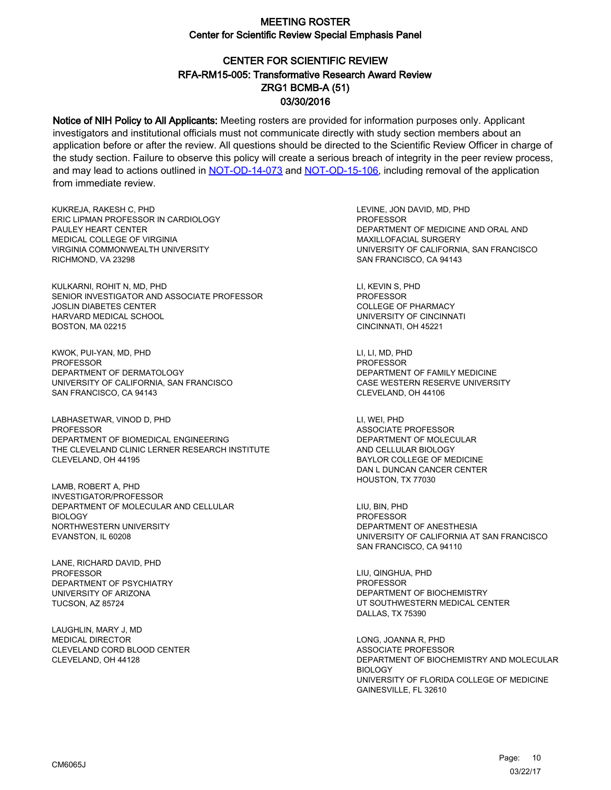# CENTER FOR SCIENTIFIC REVIEW ZRG1 BCMB-A (51) 03/30/2016 RFA-RM15-005: Transformative Research Award Review

Notice of NIH Policy to All Applicants: Meeting rosters are provided for information purposes only. Applicant investigators and institutional officials must not communicate directly with study section members about an application before or after the review. All questions should be directed to the Scientific Review Officer in charge of the study section. Failure to observe this policy will create a serious breach of integrity in the peer review process, and may lead to actions outlined in [NOT-OD-14-073](https://grants.nih.gov/grants/guide/notice-files/NOT-OD-14-073.html) and [NOT-OD-15-106,](https://grants.nih.gov/grants/guide/notice-files/NOT-OD-15-106.html) including removal of the application from immediate review.

KUKREJA, RAKESH C, PHD ERIC LIPMAN PROFESSOR IN CARDIOLOGY PAULEY HEART CENTER MEDICAL COLLEGE OF VIRGINIA VIRGINIA COMMONWEALTH UNIVERSITY RICHMOND, VA 23298

KULKARNI, ROHIT N, MD, PHD SENIOR INVESTIGATOR AND ASSOCIATE PROFESSOR JOSLIN DIABETES CENTER HARVARD MEDICAL SCHOOL BOSTON, MA 02215

KWOK, PUI-YAN, MD, PHD PROFESSOR DEPARTMENT OF DERMATOLOGY UNIVERSITY OF CALIFORNIA, SAN FRANCISCO SAN FRANCISCO, CA 94143

LABHASETWAR, VINOD D, PHD PROFESSOR DEPARTMENT OF BIOMEDICAL ENGINEERING THE CLEVELAND CLINIC LERNER RESEARCH INSTITUTE CLEVELAND, OH 44195

LAMB, ROBERT A, PHD INVESTIGATOR/PROFESSOR DEPARTMENT OF MOLECULAR AND CELLULAR **BIOLOGY** NORTHWESTERN UNIVERSITY EVANSTON, IL 60208

LANE, RICHARD DAVID, PHD PROFESSOR DEPARTMENT OF PSYCHIATRY UNIVERSITY OF ARIZONA TUCSON, AZ 85724

LAUGHLIN, MARY J, MD MEDICAL DIRECTOR CLEVELAND CORD BLOOD CENTER CLEVELAND, OH 44128

LEVINE, JON DAVID, MD, PHD **PROFESSOR** DEPARTMENT OF MEDICINE AND ORAL AND MAXILLOFACIAL SURGERY UNIVERSITY OF CALIFORNIA, SAN FRANCISCO SAN FRANCISCO, CA 94143

LI, KEVIN S, PHD PROFESSOR COLLEGE OF PHARMACY UNIVERSITY OF CINCINNATI CINCINNATI, OH 45221

LI, LI, MD, PHD PROFESSOR DEPARTMENT OF FAMILY MEDICINE CASE WESTERN RESERVE UNIVERSITY CLEVELAND, OH 44106

LI, WEI, PHD ASSOCIATE PROFESSOR DEPARTMENT OF MOLECULAR AND CELLULAR BIOLOGY BAYLOR COLLEGE OF MEDICINE DAN L DUNCAN CANCER CENTER HOUSTON, TX 77030

LIU, BIN, PHD PROFESSOR DEPARTMENT OF ANESTHESIA UNIVERSITY OF CALIFORNIA AT SAN FRANCISCO SAN FRANCISCO, CA 94110

LIU, QINGHUA, PHD **PROFESSOR** DEPARTMENT OF BIOCHEMISTRY UT SOUTHWESTERN MEDICAL CENTER DALLAS, TX 75390

LONG, JOANNA R, PHD ASSOCIATE PROFESSOR DEPARTMENT OF BIOCHEMISTRY AND MOLECULAR BIOLOGY UNIVERSITY OF FLORIDA COLLEGE OF MEDICINE GAINESVILLE, FL 32610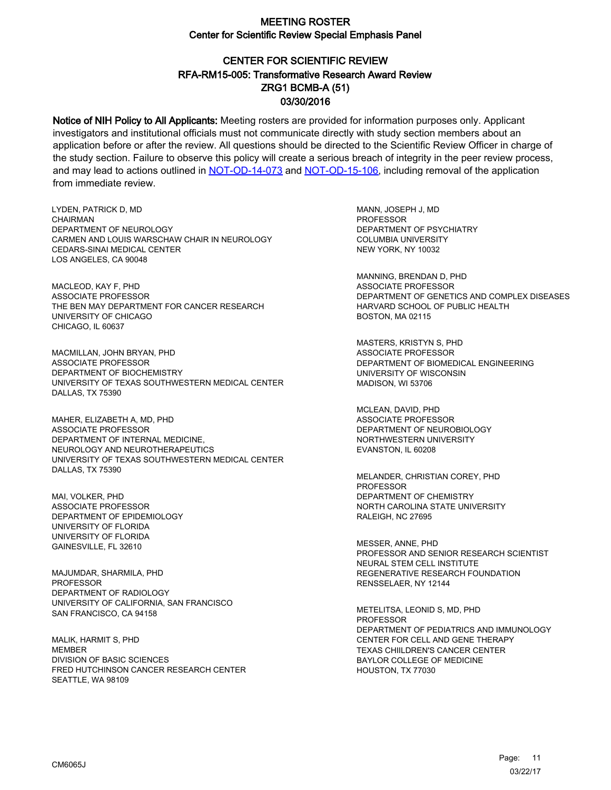# CENTER FOR SCIENTIFIC REVIEW ZRG1 BCMB-A (51) 03/30/2016 RFA-RM15-005: Transformative Research Award Review

Notice of NIH Policy to All Applicants: Meeting rosters are provided for information purposes only. Applicant investigators and institutional officials must not communicate directly with study section members about an application before or after the review. All questions should be directed to the Scientific Review Officer in charge of the study section. Failure to observe this policy will create a serious breach of integrity in the peer review process, and may lead to actions outlined in [NOT-OD-14-073](https://grants.nih.gov/grants/guide/notice-files/NOT-OD-14-073.html) and [NOT-OD-15-106,](https://grants.nih.gov/grants/guide/notice-files/NOT-OD-15-106.html) including removal of the application from immediate review.

LYDEN, PATRICK D, MD CHAIRMAN DEPARTMENT OF NEUROLOGY CARMEN AND LOUIS WARSCHAW CHAIR IN NEUROLOGY CEDARS-SINAI MEDICAL CENTER LOS ANGELES, CA 90048

MACLEOD, KAY F, PHD ASSOCIATE PROFESSOR THE BEN MAY DEPARTMENT FOR CANCER RESEARCH UNIVERSITY OF CHICAGO CHICAGO, IL 60637

MACMILLAN, JOHN BRYAN, PHD ASSOCIATE PROFESSOR DEPARTMENT OF BIOCHEMISTRY UNIVERSITY OF TEXAS SOUTHWESTERN MEDICAL CENTER DALLAS, TX 75390

MAHER, ELIZABETH A, MD, PHD ASSOCIATE PROFESSOR DEPARTMENT OF INTERNAL MEDICINE, NEUROLOGY AND NEUROTHERAPEUTICS UNIVERSITY OF TEXAS SOUTHWESTERN MEDICAL CENTER DALLAS, TX 75390

MAI, VOLKER, PHD ASSOCIATE PROFESSOR DEPARTMENT OF EPIDEMIOLOGY UNIVERSITY OF FLORIDA UNIVERSITY OF FLORIDA GAINESVILLE, FL 32610

MAJUMDAR, SHARMILA, PHD PROFESSOR DEPARTMENT OF RADIOLOGY UNIVERSITY OF CALIFORNIA, SAN FRANCISCO SAN FRANCISCO, CA 94158

MALIK, HARMIT S, PHD **MEMBER** DIVISION OF BASIC SCIENCES FRED HUTCHINSON CANCER RESEARCH CENTER SEATTLE, WA 98109

MANN, JOSEPH J, MD **PROFESSOR** DEPARTMENT OF PSYCHIATRY COLUMBIA UNIVERSITY NEW YORK, NY 10032

MANNING, BRENDAN D, PHD ASSOCIATE PROFESSOR DEPARTMENT OF GENETICS AND COMPLEX DISEASES HARVARD SCHOOL OF PUBLIC HEALTH BOSTON, MA 02115

MASTERS, KRISTYN S, PHD ASSOCIATE PROFESSOR DEPARTMENT OF BIOMEDICAL ENGINEERING UNIVERSITY OF WISCONSIN MADISON, WI 53706

MCLEAN, DAVID, PHD ASSOCIATE PROFESSOR DEPARTMENT OF NEUROBIOLOGY NORTHWESTERN UNIVERSITY EVANSTON, IL 60208

MELANDER, CHRISTIAN COREY, PHD PROFESSOR DEPARTMENT OF CHEMISTRY NORTH CAROLINA STATE UNIVERSITY RALEIGH, NC 27695

MESSER, ANNE, PHD PROFESSOR AND SENIOR RESEARCH SCIENTIST NEURAL STEM CELL INSTITUTE REGENERATIVE RESEARCH FOUNDATION RENSSELAER, NY 12144

METELITSA, LEONID S, MD, PHD **PROFESSOR** DEPARTMENT OF PEDIATRICS AND IMMUNOLOGY CENTER FOR CELL AND GENE THERAPY TEXAS CHIILDREN'S CANCER CENTER BAYLOR COLLEGE OF MEDICINE HOUSTON, TX 77030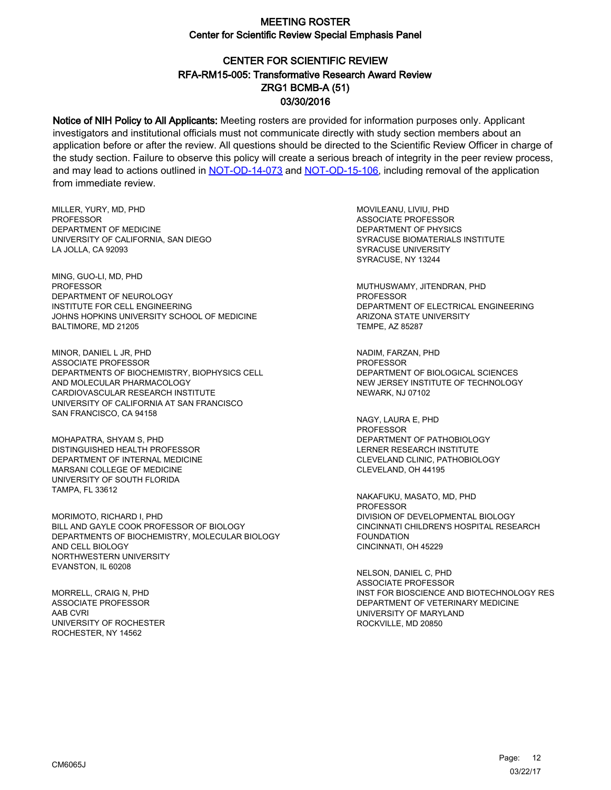# CENTER FOR SCIENTIFIC REVIEW ZRG1 BCMB-A (51) 03/30/2016 RFA-RM15-005: Transformative Research Award Review

Notice of NIH Policy to All Applicants: Meeting rosters are provided for information purposes only. Applicant investigators and institutional officials must not communicate directly with study section members about an application before or after the review. All questions should be directed to the Scientific Review Officer in charge of the study section. Failure to observe this policy will create a serious breach of integrity in the peer review process, and may lead to actions outlined in [NOT-OD-14-073](https://grants.nih.gov/grants/guide/notice-files/NOT-OD-14-073.html) and [NOT-OD-15-106,](https://grants.nih.gov/grants/guide/notice-files/NOT-OD-15-106.html) including removal of the application from immediate review.

MILLER, YURY, MD, PHD **PROFESSOR** DEPARTMENT OF MEDICINE UNIVERSITY OF CALIFORNIA, SAN DIEGO LA JOLLA, CA 92093

MING, GUO-LI, MD, PHD PROFESSOR DEPARTMENT OF NEUROLOGY INSTITUTE FOR CELL ENGINEERING JOHNS HOPKINS UNIVERSITY SCHOOL OF MEDICINE BALTIMORE, MD 21205

MINOR, DANIEL L JR, PHD ASSOCIATE PROFESSOR DEPARTMENTS OF BIOCHEMISTRY, BIOPHYSICS CELL AND MOLECULAR PHARMACOLOGY CARDIOVASCULAR RESEARCH INSTITUTE UNIVERSITY OF CALIFORNIA AT SAN FRANCISCO SAN FRANCISCO, CA 94158

MOHAPATRA, SHYAM S, PHD DISTINGUISHED HEALTH PROFESSOR DEPARTMENT OF INTERNAL MEDICINE MARSANI COLLEGE OF MEDICINE UNIVERSITY OF SOUTH FLORIDA TAMPA, FL 33612

MORIMOTO, RICHARD I, PHD BILL AND GAYLE COOK PROFESSOR OF BIOLOGY DEPARTMENTS OF BIOCHEMISTRY, MOLECULAR BIOLOGY AND CELL BIOLOGY NORTHWESTERN UNIVERSITY EVANSTON, IL 60208

MORRELL, CRAIG N, PHD ASSOCIATE PROFESSOR AAB CVRI UNIVERSITY OF ROCHESTER ROCHESTER, NY 14562

MOVILEANU, LIVIU, PHD ASSOCIATE PROFESSOR DEPARTMENT OF PHYSICS SYRACUSE BIOMATERIALS INSTITUTE SYRACUSE UNIVERSITY SYRACUSE, NY 13244

MUTHUSWAMY, JITENDRAN, PHD PROFESSOR DEPARTMENT OF ELECTRICAL ENGINEERING ARIZONA STATE UNIVERSITY TEMPE, AZ 85287

NADIM, FARZAN, PHD PROFESSOR DEPARTMENT OF BIOLOGICAL SCIENCES NEW JERSEY INSTITUTE OF TECHNOLOGY NEWARK, NJ 07102

NAGY, LAURA E, PHD PROFESSOR DEPARTMENT OF PATHOBIOLOGY LERNER RESEARCH INSTITUTE CLEVELAND CLINIC, PATHOBIOLOGY CLEVELAND, OH 44195

NAKAFUKU, MASATO, MD, PHD PROFESSOR DIVISION OF DEVELOPMENTAL BIOLOGY CINCINNATI CHILDREN'S HOSPITAL RESEARCH FOUNDATION CINCINNATI, OH 45229

NELSON, DANIEL C, PHD ASSOCIATE PROFESSOR INST FOR BIOSCIENCE AND BIOTECHNOLOGY RES DEPARTMENT OF VETERINARY MEDICINE UNIVERSITY OF MARYLAND ROCKVILLE, MD 20850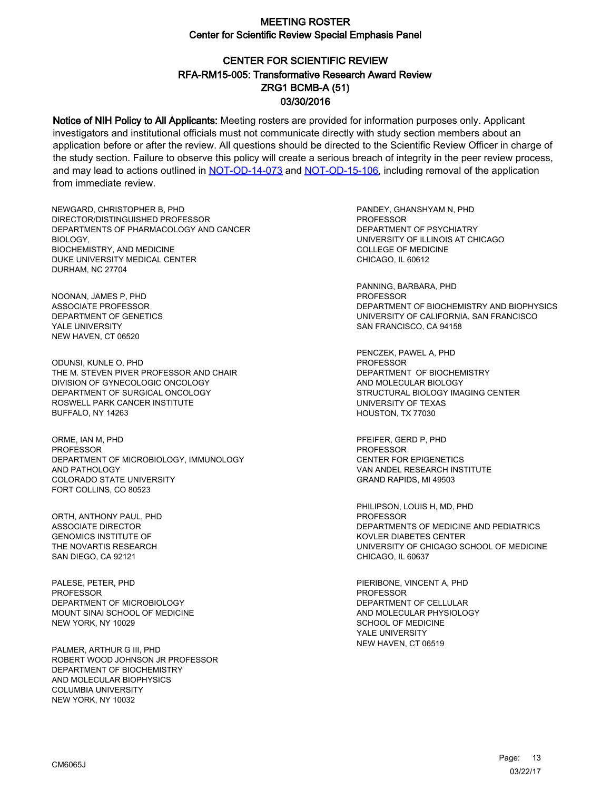# CENTER FOR SCIENTIFIC REVIEW ZRG1 BCMB-A (51) 03/30/2016 RFA-RM15-005: Transformative Research Award Review

Notice of NIH Policy to All Applicants: Meeting rosters are provided for information purposes only. Applicant investigators and institutional officials must not communicate directly with study section members about an application before or after the review. All questions should be directed to the Scientific Review Officer in charge of the study section. Failure to observe this policy will create a serious breach of integrity in the peer review process, and may lead to actions outlined in [NOT-OD-14-073](https://grants.nih.gov/grants/guide/notice-files/NOT-OD-14-073.html) and [NOT-OD-15-106,](https://grants.nih.gov/grants/guide/notice-files/NOT-OD-15-106.html) including removal of the application from immediate review.

NEWGARD, CHRISTOPHER B, PHD DIRECTOR/DISTINGUISHED PROFESSOR DEPARTMENTS OF PHARMACOLOGY AND CANCER BIOLOGY, BIOCHEMISTRY, AND MEDICINE DUKE UNIVERSITY MEDICAL CENTER DURHAM, NC 27704

NOONAN, JAMES P, PHD ASSOCIATE PROFESSOR DEPARTMENT OF GENETICS YALE UNIVERSITY NEW HAVEN, CT 06520

ODUNSI, KUNLE O, PHD THE M. STEVEN PIVER PROFESSOR AND CHAIR DIVISION OF GYNECOLOGIC ONCOLOGY DEPARTMENT OF SURGICAL ONCOLOGY ROSWELL PARK CANCER INSTITUTE BUFFALO, NY 14263

ORME, IAN M, PHD **PROFESSOR** DEPARTMENT OF MICROBIOLOGY, IMMUNOLOGY AND PATHOLOGY COLORADO STATE UNIVERSITY FORT COLLINS, CO 80523

ORTH, ANTHONY PAUL, PHD ASSOCIATE DIRECTOR GENOMICS INSTITUTE OF THE NOVARTIS RESEARCH SAN DIEGO, CA 92121

PALESE, PETER, PHD PROFESSOR DEPARTMENT OF MICROBIOLOGY MOUNT SINAI SCHOOL OF MEDICINE NEW YORK, NY 10029

PALMER, ARTHUR G III, PHD ROBERT WOOD JOHNSON JR PROFESSOR DEPARTMENT OF BIOCHEMISTRY AND MOLECULAR BIOPHYSICS COLUMBIA UNIVERSITY NEW YORK, NY 10032

PANDEY, GHANSHYAM N, PHD PROFESSOR DEPARTMENT OF PSYCHIATRY UNIVERSITY OF ILLINOIS AT CHICAGO COLLEGE OF MEDICINE CHICAGO, IL 60612

PANNING, BARBARA, PHD PROFESSOR DEPARTMENT OF BIOCHEMISTRY AND BIOPHYSICS UNIVERSITY OF CALIFORNIA, SAN FRANCISCO SAN FRANCISCO, CA 94158

PENCZEK, PAWEL A, PHD PROFESSOR DEPARTMENT OF BIOCHEMISTRY AND MOLECULAR BIOLOGY STRUCTURAL BIOLOGY IMAGING CENTER UNIVERSITY OF TEXAS HOUSTON, TX 77030

PFEIFER, GERD P, PHD PROFESSOR CENTER FOR EPIGENETICS VAN ANDEL RESEARCH INSTITUTE GRAND RAPIDS, MI 49503

PHILIPSON, LOUIS H, MD, PHD PROFESSOR DEPARTMENTS OF MEDICINE AND PEDIATRICS KOVLER DIABETES CENTER UNIVERSITY OF CHICAGO SCHOOL OF MEDICINE CHICAGO, IL 60637

PIERIBONE, VINCENT A, PHD PROFESSOR DEPARTMENT OF CELLULAR AND MOLECULAR PHYSIOLOGY SCHOOL OF MEDICINE YALE UNIVERSITY NEW HAVEN, CT 06519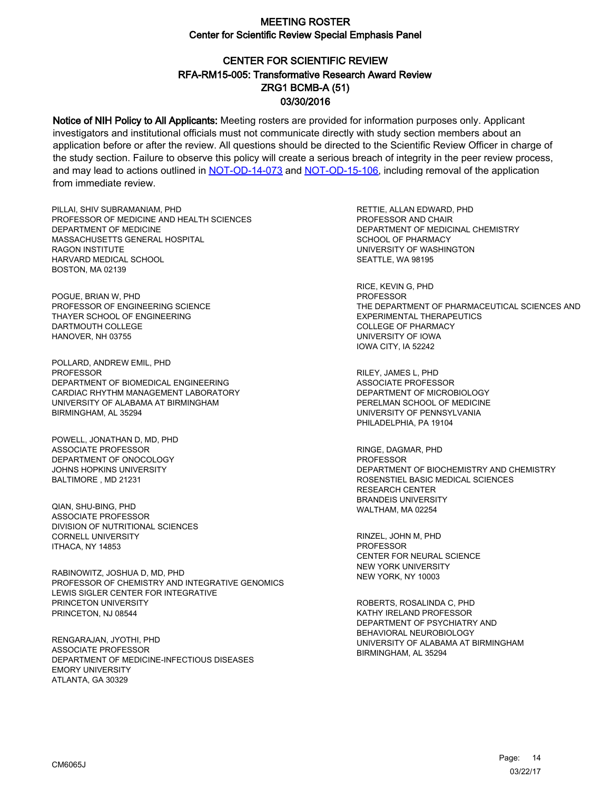# CENTER FOR SCIENTIFIC REVIEW ZRG1 BCMB-A (51) 03/30/2016 RFA-RM15-005: Transformative Research Award Review

Notice of NIH Policy to All Applicants: Meeting rosters are provided for information purposes only. Applicant investigators and institutional officials must not communicate directly with study section members about an application before or after the review. All questions should be directed to the Scientific Review Officer in charge of the study section. Failure to observe this policy will create a serious breach of integrity in the peer review process, and may lead to actions outlined in [NOT-OD-14-073](https://grants.nih.gov/grants/guide/notice-files/NOT-OD-14-073.html) and [NOT-OD-15-106,](https://grants.nih.gov/grants/guide/notice-files/NOT-OD-15-106.html) including removal of the application from immediate review.

PILLAI, SHIV SUBRAMANIAM, PHD PROFESSOR OF MEDICINE AND HEALTH SCIENCES DEPARTMENT OF MEDICINE MASSACHUSETTS GENERAL HOSPITAL RAGON INSTITUTE HARVARD MEDICAL SCHOOL BOSTON, MA 02139

POGUE, BRIAN W, PHD PROFESSOR OF ENGINEERING SCIENCE THAYER SCHOOL OF ENGINEERING DARTMOUTH COLLEGE HANOVER, NH 03755

POLLARD, ANDREW EMIL, PHD **PROFESSOR** DEPARTMENT OF BIOMEDICAL ENGINEERING CARDIAC RHYTHM MANAGEMENT LABORATORY UNIVERSITY OF ALABAMA AT BIRMINGHAM BIRMINGHAM, AL 35294

POWELL, JONATHAN D, MD, PHD ASSOCIATE PROFESSOR DEPARTMENT OF ONOCOLOGY JOHNS HOPKINS UNIVERSITY BALTIMORE , MD 21231

QIAN, SHU-BING, PHD ASSOCIATE PROFESSOR DIVISION OF NUTRITIONAL SCIENCES CORNELL UNIVERSITY ITHACA, NY 14853

RABINOWITZ, JOSHUA D, MD, PHD PROFESSOR OF CHEMISTRY AND INTEGRATIVE GENOMICS LEWIS SIGLER CENTER FOR INTEGRATIVE PRINCETON UNIVERSITY PRINCETON, NJ 08544

RENGARAJAN, JYOTHI, PHD ASSOCIATE PROFESSOR DEPARTMENT OF MEDICINE-INFECTIOUS DISEASES EMORY UNIVERSITY ATLANTA, GA 30329

RETTIE, ALLAN EDWARD, PHD PROFESSOR AND CHAIR DEPARTMENT OF MEDICINAL CHEMISTRY SCHOOL OF PHARMACY UNIVERSITY OF WASHINGTON SEATTLE, WA 98195

RICE, KEVIN G, PHD PROFESSOR THE DEPARTMENT OF PHARMACEUTICAL SCIENCES AND EXPERIMENTAL THERAPEUTICS COLLEGE OF PHARMACY UNIVERSITY OF IOWA IOWA CITY, IA 52242

RILEY, JAMES L, PHD ASSOCIATE PROFESSOR DEPARTMENT OF MICROBIOLOGY PERELMAN SCHOOL OF MEDICINE UNIVERSITY OF PENNSYLVANIA PHILADELPHIA, PA 19104

RINGE, DAGMAR, PHD PROFESSOR DEPARTMENT OF BIOCHEMISTRY AND CHEMISTRY ROSENSTIEL BASIC MEDICAL SCIENCES RESEARCH CENTER BRANDEIS UNIVERSITY WALTHAM, MA 02254

RINZEL, JOHN M, PHD PROFESSOR CENTER FOR NEURAL SCIENCE NEW YORK UNIVERSITY NEW YORK, NY 10003

ROBERTS, ROSALINDA C, PHD KATHY IRELAND PROFESSOR DEPARTMENT OF PSYCHIATRY AND BEHAVIORAL NEUROBIOLOGY UNIVERSITY OF ALABAMA AT BIRMINGHAM BIRMINGHAM, AL 35294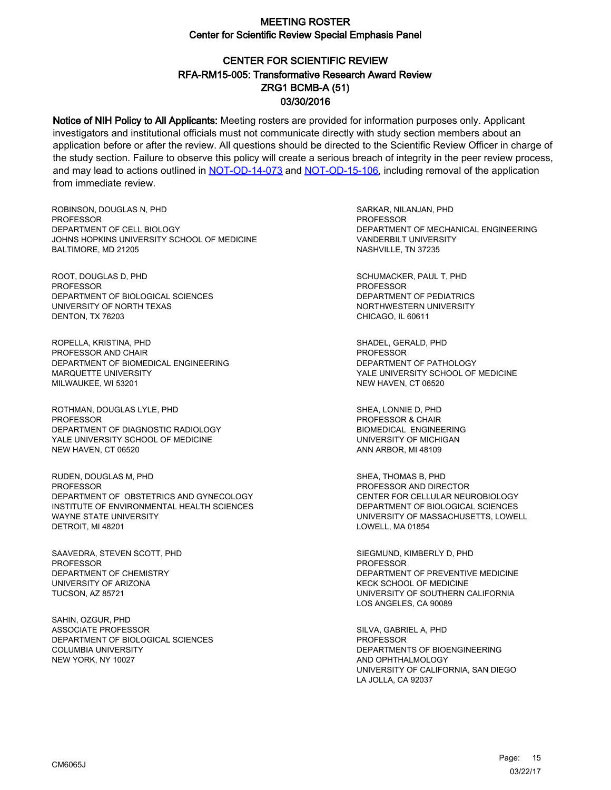# CENTER FOR SCIENTIFIC REVIEW ZRG1 BCMB-A (51) 03/30/2016 RFA-RM15-005: Transformative Research Award Review

Notice of NIH Policy to All Applicants: Meeting rosters are provided for information purposes only. Applicant investigators and institutional officials must not communicate directly with study section members about an application before or after the review. All questions should be directed to the Scientific Review Officer in charge of the study section. Failure to observe this policy will create a serious breach of integrity in the peer review process, and may lead to actions outlined in [NOT-OD-14-073](https://grants.nih.gov/grants/guide/notice-files/NOT-OD-14-073.html) and [NOT-OD-15-106,](https://grants.nih.gov/grants/guide/notice-files/NOT-OD-15-106.html) including removal of the application from immediate review.

ROBINSON, DOUGLAS N, PHD **PROFESSOR** DEPARTMENT OF CELL BIOLOGY JOHNS HOPKINS UNIVERSITY SCHOOL OF MEDICINE BALTIMORE, MD 21205

ROOT, DOUGLAS D, PHD PROFESSOR DEPARTMENT OF BIOLOGICAL SCIENCES UNIVERSITY OF NORTH TEXAS DENTON, TX 76203

ROPELLA, KRISTINA, PHD PROFESSOR AND CHAIR DEPARTMENT OF BIOMEDICAL ENGINEERING MARQUETTE UNIVERSITY MILWAUKEE, WI 53201

ROTHMAN, DOUGLAS LYLE, PHD **PROFESSOR** DEPARTMENT OF DIAGNOSTIC RADIOLOGY YALE UNIVERSITY SCHOOL OF MEDICINE NEW HAVEN, CT 06520

RUDEN, DOUGLAS M, PHD PROFESSOR DEPARTMENT OF OBSTETRICS AND GYNECOLOGY INSTITUTE OF ENVIRONMENTAL HEALTH SCIENCES WAYNE STATE UNIVERSITY DETROIT, MI 48201

SAAVEDRA, STEVEN SCOTT, PHD PROFESSOR DEPARTMENT OF CHEMISTRY UNIVERSITY OF ARIZONA TUCSON, AZ 85721

SAHIN, OZGUR, PHD ASSOCIATE PROFESSOR DEPARTMENT OF BIOLOGICAL SCIENCES COLUMBIA UNIVERSITY NEW YORK, NY 10027

SARKAR, NILANJAN, PHD PROFESSOR DEPARTMENT OF MECHANICAL ENGINEERING VANDERBILT UNIVERSITY NASHVILLE, TN 37235

SCHUMACKER, PAUL T, PHD PROFESSOR DEPARTMENT OF PEDIATRICS NORTHWESTERN UNIVERSITY CHICAGO, IL 60611

SHADEL, GERALD, PHD **PROFESSOR** DEPARTMENT OF PATHOLOGY YALE UNIVERSITY SCHOOL OF MEDICINE NEW HAVEN, CT 06520

SHEA, LONNIE D, PHD PROFESSOR & CHAIR BIOMEDICAL ENGINEERING UNIVERSITY OF MICHIGAN ANN ARBOR, MI 48109

SHEA, THOMAS B, PHD PROFESSOR AND DIRECTOR CENTER FOR CELLULAR NEUROBIOLOGY DEPARTMENT OF BIOLOGICAL SCIENCES UNIVERSITY OF MASSACHUSETTS, LOWELL LOWELL, MA 01854

SIEGMUND, KIMBERLY D, PHD PROFESSOR DEPARTMENT OF PREVENTIVE MEDICINE KECK SCHOOL OF MEDICINE UNIVERSITY OF SOUTHERN CALIFORNIA LOS ANGELES, CA 90089

SILVA, GABRIEL A, PHD PROFESSOR DEPARTMENTS OF BIOENGINEERING AND OPHTHALMOLOGY UNIVERSITY OF CALIFORNIA, SAN DIEGO LA JOLLA, CA 92037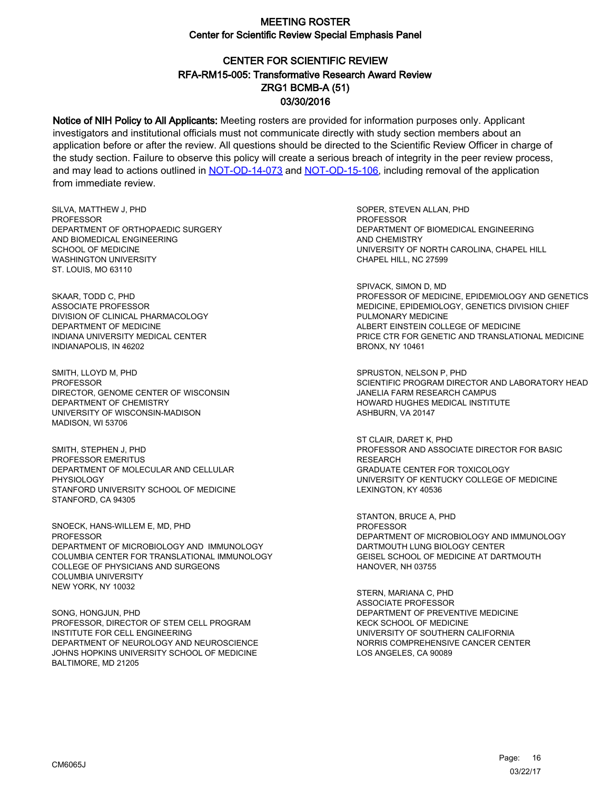# CENTER FOR SCIENTIFIC REVIEW ZRG1 BCMB-A (51) 03/30/2016 RFA-RM15-005: Transformative Research Award Review

Notice of NIH Policy to All Applicants: Meeting rosters are provided for information purposes only. Applicant investigators and institutional officials must not communicate directly with study section members about an application before or after the review. All questions should be directed to the Scientific Review Officer in charge of the study section. Failure to observe this policy will create a serious breach of integrity in the peer review process, and may lead to actions outlined in [NOT-OD-14-073](https://grants.nih.gov/grants/guide/notice-files/NOT-OD-14-073.html) and [NOT-OD-15-106,](https://grants.nih.gov/grants/guide/notice-files/NOT-OD-15-106.html) including removal of the application from immediate review.

SILVA, MATTHEW J, PHD PROFESSOR DEPARTMENT OF ORTHOPAEDIC SURGERY AND BIOMEDICAL ENGINEERING SCHOOL OF MEDICINE WASHINGTON UNIVERSITY ST. LOUIS, MO 63110

SKAAR, TODD C, PHD ASSOCIATE PROFESSOR DIVISION OF CLINICAL PHARMACOLOGY DEPARTMENT OF MEDICINE INDIANA UNIVERSITY MEDICAL CENTER INDIANAPOLIS, IN 46202

SMITH, LLOYD M, PHD PROFESSOR DIRECTOR, GENOME CENTER OF WISCONSIN DEPARTMENT OF CHEMISTRY UNIVERSITY OF WISCONSIN-MADISON MADISON, WI 53706

SMITH, STEPHEN J, PHD PROFESSOR EMERITUS DEPARTMENT OF MOLECULAR AND CELLULAR PHYSIOLOGY STANFORD UNIVERSITY SCHOOL OF MEDICINE STANFORD, CA 94305

SNOECK, HANS-WILLEM E, MD, PHD **PROFESSOR** DEPARTMENT OF MICROBIOLOGY AND IMMUNOLOGY COLUMBIA CENTER FOR TRANSLATIONAL IMMUNOLOGY COLLEGE OF PHYSICIANS AND SURGEONS COLUMBIA UNIVERSITY NEW YORK, NY 10032

SONG, HONGJUN, PHD PROFESSOR, DIRECTOR OF STEM CELL PROGRAM INSTITUTE FOR CELL ENGINEERING DEPARTMENT OF NEUROLOGY AND NEUROSCIENCE JOHNS HOPKINS UNIVERSITY SCHOOL OF MEDICINE BALTIMORE, MD 21205

SOPER, STEVEN ALLAN, PHD **PROFESSOR** DEPARTMENT OF BIOMEDICAL ENGINEERING AND CHEMISTRY UNIVERSITY OF NORTH CAROLINA, CHAPEL HILL CHAPEL HILL, NC 27599

SPIVACK, SIMON D, MD PROFESSOR OF MEDICINE, EPIDEMIOLOGY AND GENETICS MEDICINE, EPIDEMIOLOGY, GENETICS DIVISION CHIEF PULMONARY MEDICINE ALBERT EINSTEIN COLLEGE OF MEDICINE PRICE CTR FOR GENETIC AND TRANSLATIONAL MEDICINE BRONX, NY 10461

SPRUSTON, NELSON P, PHD SCIENTIFIC PROGRAM DIRECTOR AND LABORATORY HEAD JANELIA FARM RESEARCH CAMPUS HOWARD HUGHES MEDICAL INSTITUTE ASHBURN, VA 20147

ST CLAIR, DARET K, PHD PROFESSOR AND ASSOCIATE DIRECTOR FOR BASIC **RESEARCH** GRADUATE CENTER FOR TOXICOLOGY UNIVERSITY OF KENTUCKY COLLEGE OF MEDICINE LEXINGTON, KY 40536

STANTON, BRUCE A, PHD PROFESSOR DEPARTMENT OF MICROBIOLOGY AND IMMUNOLOGY DARTMOUTH LUNG BIOLOGY CENTER GEISEL SCHOOL OF MEDICINE AT DARTMOUTH HANOVER, NH 03755

STERN, MARIANA C, PHD ASSOCIATE PROFESSOR DEPARTMENT OF PREVENTIVE MEDICINE KECK SCHOOL OF MEDICINE UNIVERSITY OF SOUTHERN CALIFORNIA NORRIS COMPREHENSIVE CANCER CENTER LOS ANGELES, CA 90089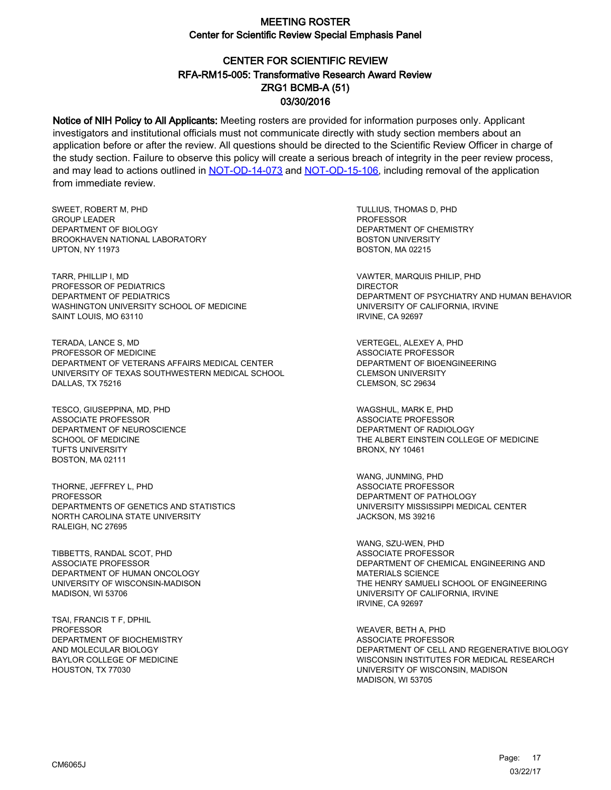# CENTER FOR SCIENTIFIC REVIEW ZRG1 BCMB-A (51) 03/30/2016 RFA-RM15-005: Transformative Research Award Review

Notice of NIH Policy to All Applicants: Meeting rosters are provided for information purposes only. Applicant investigators and institutional officials must not communicate directly with study section members about an application before or after the review. All questions should be directed to the Scientific Review Officer in charge of the study section. Failure to observe this policy will create a serious breach of integrity in the peer review process, and may lead to actions outlined in [NOT-OD-14-073](https://grants.nih.gov/grants/guide/notice-files/NOT-OD-14-073.html) and [NOT-OD-15-106,](https://grants.nih.gov/grants/guide/notice-files/NOT-OD-15-106.html) including removal of the application from immediate review.

SWEET, ROBERT M, PHD GROUP LEADER DEPARTMENT OF BIOLOGY BROOKHAVEN NATIONAL LABORATORY UPTON, NY 11973

TARR, PHILLIP I, MD PROFESSOR OF PEDIATRICS DEPARTMENT OF PEDIATRICS WASHINGTON UNIVERSITY SCHOOL OF MEDICINE SAINT LOUIS, MO 63110

TERADA, LANCE S, MD PROFESSOR OF MEDICINE DEPARTMENT OF VETERANS AFFAIRS MEDICAL CENTER UNIVERSITY OF TEXAS SOUTHWESTERN MEDICAL SCHOOL DALLAS, TX 75216

TESCO, GIUSEPPINA, MD, PHD ASSOCIATE PROFESSOR DEPARTMENT OF NEUROSCIENCE SCHOOL OF MEDICINE TUFTS UNIVERSITY BOSTON, MA 02111

THORNE, JEFFREY L, PHD **PROFESSOR** DEPARTMENTS OF GENETICS AND STATISTICS NORTH CAROLINA STATE UNIVERSITY RALEIGH, NC 27695

TIBBETTS, RANDAL SCOT, PHD ASSOCIATE PROFESSOR DEPARTMENT OF HUMAN ONCOLOGY UNIVERSITY OF WISCONSIN-MADISON MADISON, WI 53706

TSAI, FRANCIS T F, DPHIL PROFESSOR DEPARTMENT OF BIOCHEMISTRY AND MOLECULAR BIOLOGY BAYLOR COLLEGE OF MEDICINE HOUSTON, TX 77030

TULLIUS, THOMAS D, PHD PROFESSOR DEPARTMENT OF CHEMISTRY BOSTON UNIVERSITY BOSTON, MA 02215

VAWTER, MARQUIS PHILIP, PHD DIRECTOR DEPARTMENT OF PSYCHIATRY AND HUMAN BEHAVIOR UNIVERSITY OF CALIFORNIA, IRVINE IRVINE, CA 92697

VERTEGEL, ALEXEY A, PHD ASSOCIATE PROFESSOR DEPARTMENT OF BIOENGINEERING CLEMSON UNIVERSITY CLEMSON, SC 29634

WAGSHUL, MARK E, PHD ASSOCIATE PROFESSOR DEPARTMENT OF RADIOLOGY THE ALBERT EINSTEIN COLLEGE OF MEDICINE BRONX, NY 10461

WANG, JUNMING, PHD ASSOCIATE PROFESSOR DEPARTMENT OF PATHOLOGY UNIVERSITY MISSISSIPPI MEDICAL CENTER JACKSON, MS 39216

WANG, SZU-WEN, PHD ASSOCIATE PROFESSOR DEPARTMENT OF CHEMICAL ENGINEERING AND MATERIALS SCIENCE THE HENRY SAMUELI SCHOOL OF ENGINEERING UNIVERSITY OF CALIFORNIA, IRVINE IRVINE, CA 92697

WEAVER, BETH A, PHD ASSOCIATE PROFESSOR DEPARTMENT OF CELL AND REGENERATIVE BIOLOGY WISCONSIN INSTITUTES FOR MEDICAL RESEARCH UNIVERSITY OF WISCONSIN, MADISON MADISON, WI 53705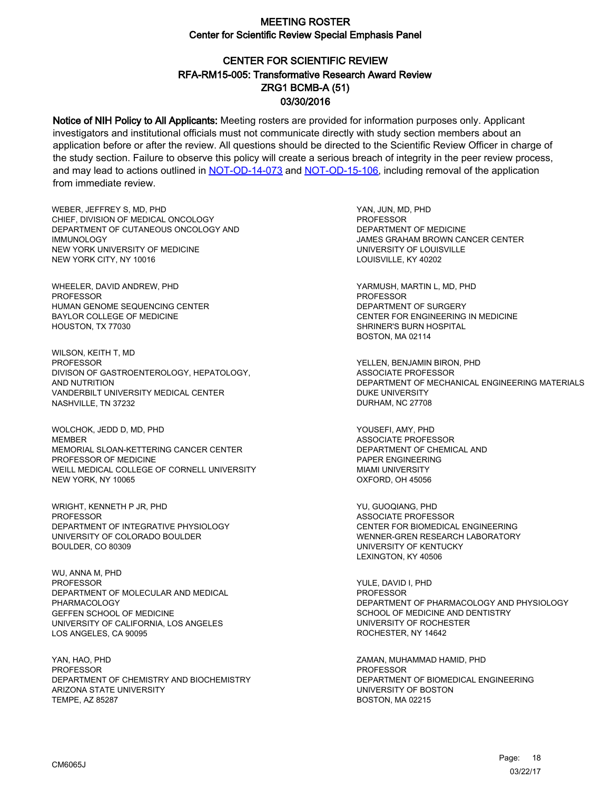# CENTER FOR SCIENTIFIC REVIEW ZRG1 BCMB-A (51) 03/30/2016 RFA-RM15-005: Transformative Research Award Review

Notice of NIH Policy to All Applicants: Meeting rosters are provided for information purposes only. Applicant investigators and institutional officials must not communicate directly with study section members about an application before or after the review. All questions should be directed to the Scientific Review Officer in charge of the study section. Failure to observe this policy will create a serious breach of integrity in the peer review process, and may lead to actions outlined in [NOT-OD-14-073](https://grants.nih.gov/grants/guide/notice-files/NOT-OD-14-073.html) and [NOT-OD-15-106,](https://grants.nih.gov/grants/guide/notice-files/NOT-OD-15-106.html) including removal of the application from immediate review.

WEBER, JEFFREY S, MD, PHD CHIEF, DIVISION OF MEDICAL ONCOLOGY DEPARTMENT OF CUTANEOUS ONCOLOGY AND IMMUNOLOGY NEW YORK UNIVERSITY OF MEDICINE NEW YORK CITY, NY 10016

WHEELER, DAVID ANDREW, PHD PROFESSOR HUMAN GENOME SEQUENCING CENTER BAYLOR COLLEGE OF MEDICINE HOUSTON, TX 77030

WILSON, KEITH T, MD PROFESSOR DIVISON OF GASTROENTEROLOGY, HEPATOLOGY, AND NUTRITION VANDERBILT UNIVERSITY MEDICAL CENTER NASHVILLE, TN 37232

WOLCHOK, JEDD D, MD, PHD MEMBER MEMORIAL SLOAN-KETTERING CANCER CENTER PROFESSOR OF MEDICINE WEILL MEDICAL COLLEGE OF CORNELL UNIVERSITY NEW YORK, NY 10065

WRIGHT, KENNETH P JR, PHD PROFESSOR DEPARTMENT OF INTEGRATIVE PHYSIOLOGY UNIVERSITY OF COLORADO BOULDER BOULDER, CO 80309

WU, ANNA M, PHD **PROFESSOR** DEPARTMENT OF MOLECULAR AND MEDICAL PHARMACOLOGY GEFFEN SCHOOL OF MEDICINE UNIVERSITY OF CALIFORNIA, LOS ANGELES LOS ANGELES, CA 90095

YAN, HAO, PHD **PROFESSOR** DEPARTMENT OF CHEMISTRY AND BIOCHEMISTRY ARIZONA STATE UNIVERSITY TEMPE, AZ 85287

YAN, JUN, MD, PHD PROFESSOR DEPARTMENT OF MEDICINE JAMES GRAHAM BROWN CANCER CENTER UNIVERSITY OF LOUISVILLE LOUISVILLE, KY 40202

YARMUSH, MARTIN L, MD, PHD PROFESSOR DEPARTMENT OF SURGERY CENTER FOR ENGINEERING IN MEDICINE SHRINER'S BURN HOSPITAL BOSTON, MA 02114

YELLEN, BENJAMIN BIRON, PHD ASSOCIATE PROFESSOR DEPARTMENT OF MECHANICAL ENGINEERING MATERIALS DUKE UNIVERSITY DURHAM, NC 27708

YOUSEFI, AMY, PHD ASSOCIATE PROFESSOR DEPARTMENT OF CHEMICAL AND PAPER ENGINEERING MIAMI UNIVERSITY OXFORD, OH 45056

YU, GUOQIANG, PHD ASSOCIATE PROFESSOR CENTER FOR BIOMEDICAL ENGINEERING WENNER-GREN RESEARCH LABORATORY UNIVERSITY OF KENTUCKY LEXINGTON, KY 40506

YULE, DAVID I, PHD PROFESSOR DEPARTMENT OF PHARMACOLOGY AND PHYSIOLOGY SCHOOL OF MEDICINE AND DENTISTRY UNIVERSITY OF ROCHESTER ROCHESTER, NY 14642

ZAMAN, MUHAMMAD HAMID, PHD PROFESSOR DEPARTMENT OF BIOMEDICAL ENGINEERING UNIVERSITY OF BOSTON BOSTON, MA 02215